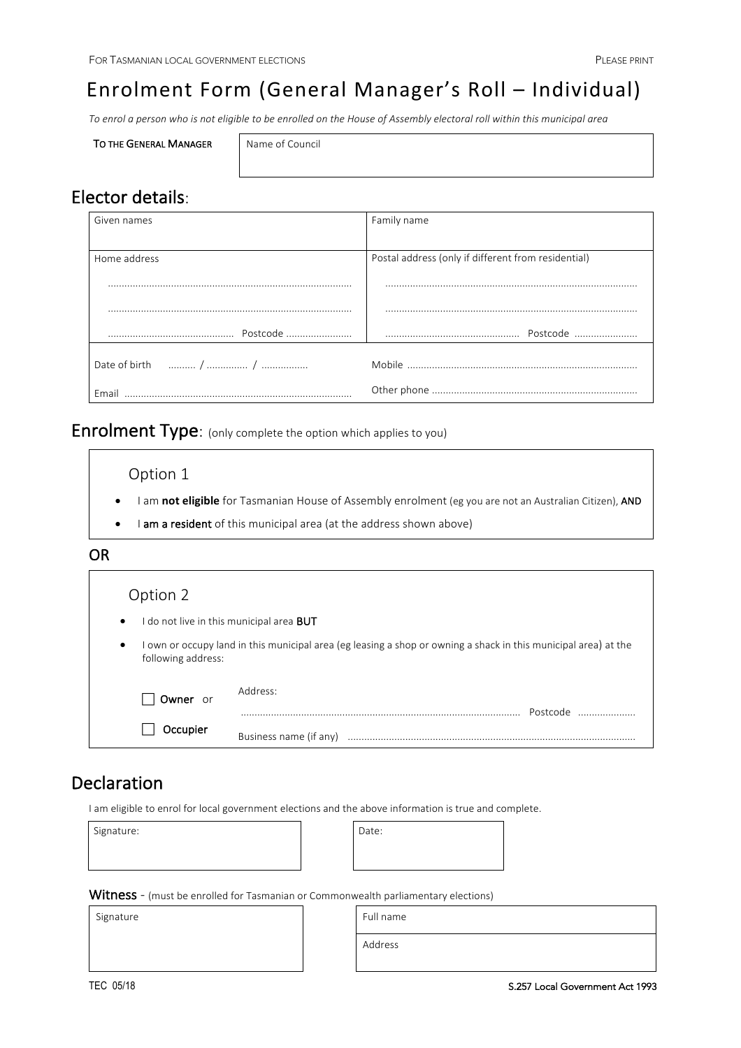# Enrolment Form (General Manager's Roll - Individual)

To enrol a person who is not eligible to be enrolled on the House of Assembly electoral roll within this municipal area

|  |  | <b>TO THE GENERAL MANAGER</b> |
|--|--|-------------------------------|
|--|--|-------------------------------|

Name of Council

# Elector details:

| Given names  | Family name                                         |
|--------------|-----------------------------------------------------|
|              |                                                     |
| Home address | Postal address (only if different from residential) |
|              |                                                     |
|              |                                                     |
|              |                                                     |
|              |                                                     |
| Email        |                                                     |

Enrolment Type: (only complete the option which applies to you)

Option 1

- I am not eligible for Tasmanian House of Assembly enrolment (eg you are not an Australian Citizen), AND
- I am a resident of this municipal area (at the address shown above)

## OR

| Option 2                                                                                                                                           |                                                 |  |
|----------------------------------------------------------------------------------------------------------------------------------------------------|-------------------------------------------------|--|
| $\bullet$                                                                                                                                          | I do not live in this municipal area <b>BUT</b> |  |
| I own or occupy land in this municipal area (eg leasing a shop or owning a shack in this municipal area) at the<br>$\bullet$<br>following address: |                                                 |  |
| Owner or                                                                                                                                           | Address:<br>Postcode                            |  |
| Occupier                                                                                                                                           | Business name (if any)                          |  |

# Declaration

I am eligible to enrol for local government elections and the above information is true and complete.

Signature: and Date: Date: Date: Date: Date: Date: Date: Date: Date: Date: Date: Date: Date: Date: D

Witness - (must be enrolled for Tasmanian or Commonwealth parliamentary elections)

Signature **Full** name **Full** name

Address

 $\overline{\phantom{a}}$